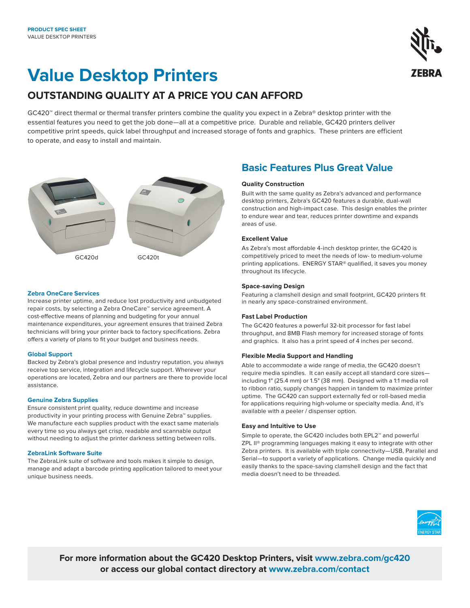# **Value Desktop Printers**

## **OUTSTANDING QUALITY AT A PRICE YOU CAN AFFORD**

GC420™ direct thermal or thermal transfer printers combine the quality you expect in a Zebra® desktop printer with the essential features you need to get the job done—all at a competitive price. Durable and reliable, GC420 printers deliver competitive print speeds, quick label throughput and increased storage of fonts and graphics. These printers are efficient to operate, and easy to install and maintain.



#### **Zebra OneCare Services**

Increase printer uptime, and reduce lost productivity and unbudgeted repair costs, by selecting a Zebra OneCare™ service agreement. A cost-effective means of planning and budgeting for your annual maintenance expenditures, your agreement ensures that trained Zebra technicians will bring your printer back to factory specifications. Zebra offers a variety of plans to fit your budget and business needs.

#### **Global Support**

Backed by Zebra's global presence and industry reputation, you always receive top service, integration and lifecycle support. Wherever your operations are located, Zebra and our partners are there to provide local assistance.

#### **Genuine Zebra Supplies**

Ensure consistent print quality, reduce downtime and increase productivity in your printing process with Genuine Zebra™ supplies. We manufacture each supplies product with the exact same materials every time so you always get crisp, readable and scannable output without needing to adjust the printer darkness setting between rolls.

#### **ZebraLink Software Suite**

The ZebraLink suite of software and tools makes it simple to design, manage and adapt a barcode printing application tailored to meet your unique business needs.

### **Basic Features Plus Great Value**

#### **Quality Construction**

Built with the same quality as Zebra's advanced and performance desktop printers, Zebra's GC420 features a durable, dual-wall construction and high-impact case. This design enables the printer to endure wear and tear, reduces printer downtime and expands areas of use.

#### **Excellent Value**

As Zebra's most affordable 4-inch desktop printer, the GC420 is competitively priced to meet the needs of low- to medium-volume printing applications. ENERGY STAR® qualified, it saves you money throughout its lifecycle.

#### **Space-saving Design**

Featuring a clamshell design and small footprint, GC420 printers fit in nearly any space-constrained environment.

#### **Fast Label Production**

The GC420 features a powerful 32-bit processor for fast label throughput, and 8MB Flash memory for increased storage of fonts and graphics. It also has a print speed of 4 inches per second.

#### **Flexible Media Support and Handling**

Able to accommodate a wide range of media, the GC420 doesn't require media spindles. It can easily accept all standard core sizes including 1" (25.4 mm) or 1.5" (38 mm). Designed with a 1:1 media roll to ribbon ratio, supply changes happen in tandem to maximize printer uptime. The GC420 can support externally fed or roll-based media for applications requiring high-volume or specialty media. And, it's available with a peeler / dispenser option.

#### **Easy and Intuitive to Use**

Simple to operate, the GC420 includes both EPL2™ and powerful ZPL II® programming languages making it easy to integrate with other Zebra printers. It is available with triple connectivity—USB, Parallel and Serial—to support a variety of applications. Change media quickly and easily thanks to the space-saving clamshell design and the fact that media doesn't need to be threaded.



**For more information about the GC420 Desktop Printers, visit [www.zebra.com/](https://www.zebra.com/us/en/products/printers/desktop/value-desktop-printers.html)gc420 or access our global contact directory at [www.zebra.com/contact](https://www.zebra.com/us/en/about-zebra/contact-us/contact-zebra.html)**